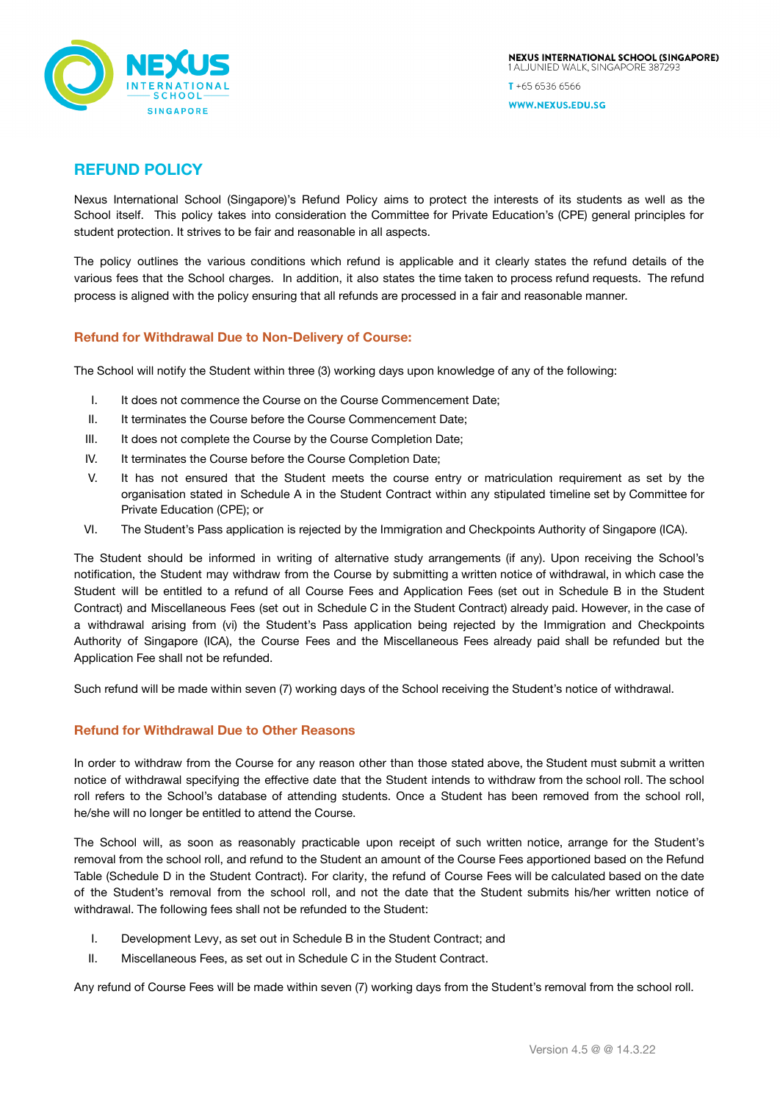

 $T + 6565366566$ 

WWW.NEXUS.EDU.SG

# **REFUND POLICY**

Nexus International School (Singapore)'s Refund Policy aims to protect the interests of its students as well as the School itself. This policy takes into consideration the Committee for Private Education's (CPE) general principles for student protection. It strives to be fair and reasonable in all aspects.

The policy outlines the various conditions which refund is applicable and it clearly states the refund details of the various fees that the School charges. In addition, it also states the time taken to process refund requests. The refund process is aligned with the policy ensuring that all refunds are processed in a fair and reasonable manner.

# **Refund for Withdrawal Due to Non-Delivery of Course:**

The School will notify the Student within three (3) working days upon knowledge of any of the following:

- I. It does not commence the Course on the Course Commencement Date;
- II. It terminates the Course before the Course Commencement Date:
- III. It does not complete the Course by the Course Completion Date;
- IV. It terminates the Course before the Course Completion Date;
- V. It has not ensured that the Student meets the course entry or matriculation requirement as set by the organisation stated in Schedule A in the Student Contract within any stipulated timeline set by Committee for Private Education (CPE); or
- VI. The Student's Pass application is rejected by the Immigration and Checkpoints Authority of Singapore (ICA).

The Student should be informed in writing of alternative study arrangements (if any). Upon receiving the School's notification, the Student may withdraw from the Course by submitting a written notice of withdrawal, in which case the Student will be entitled to a refund of all Course Fees and Application Fees (set out in Schedule B in the Student Contract) and Miscellaneous Fees (set out in Schedule C in the Student Contract) already paid. However, in the case of a withdrawal arising from (vi) the Student's Pass application being rejected by the Immigration and Checkpoints Authority of Singapore (ICA), the Course Fees and the Miscellaneous Fees already paid shall be refunded but the Application Fee shall not be refunded.

Such refund will be made within seven (7) working days of the School receiving the Student's notice of withdrawal.

# **Refund for Withdrawal Due to Other Reasons**

In order to withdraw from the Course for any reason other than those stated above, the Student must submit a written notice of withdrawal specifying the effective date that the Student intends to withdraw from the school roll. The school roll refers to the School's database of attending students. Once a Student has been removed from the school roll, he/she will no longer be entitled to attend the Course.

The School will, as soon as reasonably practicable upon receipt of such written notice, arrange for the Student's removal from the school roll, and refund to the Student an amount of the Course Fees apportioned based on the Refund Table (Schedule D in the Student Contract). For clarity, the refund of Course Fees will be calculated based on the date of the Student's removal from the school roll, and not the date that the Student submits his/her written notice of withdrawal. The following fees shall not be refunded to the Student:

- I. Development Levy, as set out in Schedule B in the Student Contract; and
- II. Miscellaneous Fees, as set out in Schedule C in the Student Contract.

Any refund of Course Fees will be made within seven (7) working days from the Student's removal from the school roll.